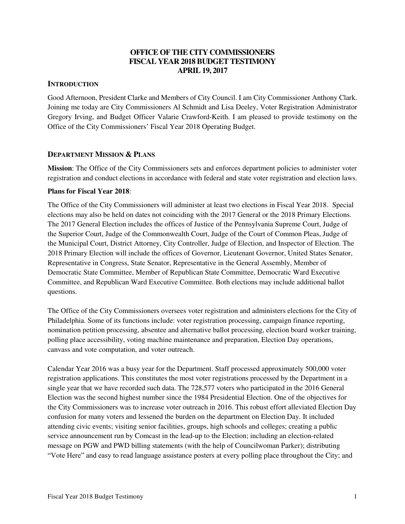### **OFFICE OF THE CITY COMMISSIONERS FISCAL YEAR 2018 BUDGET TESTIMONY APRIL 19, 2017**

### **INTRODUCTION**

Good Afternoon, President Clarke and Members of City Council. I am City Commissioner Anthony Clark. Joining me today are City Commissioners Al Schmidt and Lisa Deeley, Voter Registration Administrator Gregory Irving, and Budget Officer Valarie Crawford-Keith. I am pleased to provide testimony on the Office of the City Commissioners' Fiscal Year 2018 Operating Budget.

### **DEPARTMENT MISSION & PLANS**

**Mission**: The Office of the City Commissioners sets and enforces department policies to administer voter registration and conduct elections in accordance with federal and state voter registration and election laws.

### **Plans for Fiscal Year 2018**:

The Office of the City Commissioners will administer at least two elections in Fiscal Year 2018. Special elections may also be held on dates not coinciding with the 2017 General or the 2018 Primary Elections. The 2017 General Election includes the offices of Justice of the Pennsylvania Supreme Court, Judge of the Superior Court, Judge of the Commonwealth Court, Judge of the Court of Common Pleas, Judge of the Municipal Court, District Attorney, City Controller, Judge of Election, and Inspector of Election. The 2018 Primary Election will include the offices of Governor, Lieutenant Governor, United States Senator, Representative in Congress, State Senator, Representative in the General Assembly, Member of Democratic State Committee, Member of Republican State Committee, Democratic Ward Executive Committee, and Republican Ward Executive Committee. Both elections may include additional ballot questions.

The Office of the City Commissioners oversees voter registration and administers elections for the City of Philadelphia. Some of its functions include: voter registration processing, campaign finance reporting, nomination petition processing, absentee and alternative ballot processing, election board worker training, polling place accessibility, voting machine maintenance and preparation, Election Day operations, canvass and vote computation, and voter outreach.

Calendar Year 2016 was a busy year for the Department. Staff processed approximately 500,000 voter registration applications. This constitutes the most voter registrations processed by the Department in a single year that we have recorded such data. The 728,577 voters who participated in the 2016 General Election was the second highest number since the 1984 Presidential Election. One of the objectives for the City Commissioners was to increase voter outreach in 2016. This robust effort alleviated Election Day confusion for many voters and lessened the burden on the department on Election Day. It included attending civic events; visiting senior facilities, groups, high schools and colleges; creating a public service announcement run by Comcast in the lead-up to the Election; including an election-related message on PGW and PWD billing statements (with the help of Councilwoman Parker); distributing "Vote Here" and easy to read language assistance posters at every polling place throughout the City; and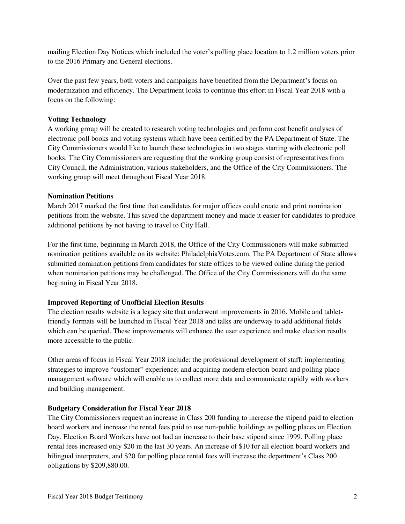mailing Election Day Notices which included the voter's polling place location to 1.2 million voters prior to the 2016 Primary and General elections.

Over the past few years, both voters and campaigns have benefited from the Department's focus on modernization and efficiency. The Department looks to continue this effort in Fiscal Year 2018 with a focus on the following:

### **Voting Technology**

A working group will be created to research voting technologies and perform cost benefit analyses of electronic poll books and voting systems which have been certified by the PA Department of State. The City Commissioners would like to launch these technologies in two stages starting with electronic poll books. The City Commissioners are requesting that the working group consist of representatives from City Council, the Administration, various stakeholders, and the Office of the City Commissioners. The working group will meet throughout Fiscal Year 2018.

### **Nomination Petitions**

March 2017 marked the first time that candidates for major offices could create and print nomination petitions from the website. This saved the department money and made it easier for candidates to produce additional petitions by not having to travel to City Hall.

For the first time, beginning in March 2018, the Office of the City Commissioners will make submitted nomination petitions available on its website: PhiladelphiaVotes.com. The PA Department of State allows submitted nomination petitions from candidates for state offices to be viewed online during the period when nomination petitions may be challenged. The Office of the City Commissioners will do the same beginning in Fiscal Year 2018.

### **Improved Reporting of Unofficial Election Results**

The election results website is a legacy site that underwent improvements in 2016. Mobile and tabletfriendly formats will be launched in Fiscal Year 2018 and talks are underway to add additional fields which can be queried. These improvements will enhance the user experience and make election results more accessible to the public.

Other areas of focus in Fiscal Year 2018 include: the professional development of staff; implementing strategies to improve "customer" experience; and acquiring modern election board and polling place management software which will enable us to collect more data and communicate rapidly with workers and building management.

### **Budgetary Consideration for Fiscal Year 2018**

The City Commissioners request an increase in Class 200 funding to increase the stipend paid to election board workers and increase the rental fees paid to use non-public buildings as polling places on Election Day. Election Board Workers have not had an increase to their base stipend since 1999. Polling place rental fees increased only \$20 in the last 30 years. An increase of \$10 for all election board workers and bilingual interpreters, and \$20 for polling place rental fees will increase the department's Class 200 obligations by \$209,880.00.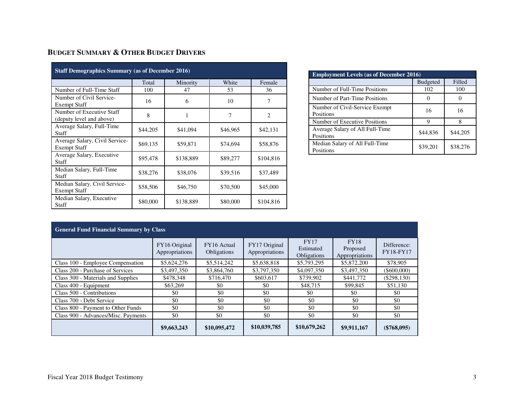# **BUDGET SUMMARY & OTHER BUDGET DRIVERS**

| <b>Staff Demographics Summary (as of December 2016)</b> |          |           |          |                |  |  |  |  |  |
|---------------------------------------------------------|----------|-----------|----------|----------------|--|--|--|--|--|
|                                                         | Total    | Minority  | White    | Female         |  |  |  |  |  |
| Number of Full-Time Staff                               | 100      | 47        | 53       | 36             |  |  |  |  |  |
| Number of Civil Service-<br><b>Exempt Staff</b>         | 16       | 6         | 10       | 7              |  |  |  |  |  |
| Number of Executive Staff<br>(deputy level and above)   | 8        | 1         | 7        | $\overline{c}$ |  |  |  |  |  |
| Average Salary, Full-Time<br>Staff                      | \$44,205 | \$41,094  | \$46,965 | \$42,131       |  |  |  |  |  |
| Average Salary, Civil Service-<br><b>Exempt Staff</b>   | \$69,135 | \$59,871  | \$74,694 | \$58,876       |  |  |  |  |  |
| Average Salary, Executive<br>Staff                      | \$95,478 | \$138,889 | \$89,277 | \$104,816      |  |  |  |  |  |
| Median Salary, Full-Time<br>Staff                       | \$38,276 | \$38,076  | \$39,516 | \$37,489       |  |  |  |  |  |
| Median Salary, Civil Service-<br><b>Exempt Staff</b>    | \$58,506 | \$46,750  | \$70,500 | \$45,000       |  |  |  |  |  |
| Median Salary, Executive<br>Staff                       | \$80,000 | \$138,889 | \$80,000 | \$104,816      |  |  |  |  |  |

| <b>Employment Levels (as of December 2016)</b> |                 |          |  |  |  |  |  |
|------------------------------------------------|-----------------|----------|--|--|--|--|--|
|                                                | <b>Budgeted</b> | Filled   |  |  |  |  |  |
| Number of Full-Time Positions                  | 102             | 100      |  |  |  |  |  |
| Number of Part-Time Positions                  |                 |          |  |  |  |  |  |
| Number of Civil-Service Exempt<br>Positions    | 16              | 16       |  |  |  |  |  |
| Number of Executive Positions                  | Q               |          |  |  |  |  |  |
| Average Salary of All Full-Time<br>Positions   | \$44,836        | \$44,205 |  |  |  |  |  |
| Median Salary of All Full-Time<br>Positions    | \$39,201        | \$38,276 |  |  |  |  |  |

| <b>General Fund Financial Summary by Class</b> |                                 |                            |                                 |                                         |                                           |                                 |  |  |  |
|------------------------------------------------|---------------------------------|----------------------------|---------------------------------|-----------------------------------------|-------------------------------------------|---------------------------------|--|--|--|
|                                                | FY16 Original<br>Appropriations | FY16 Actual<br>Obligations | FY17 Original<br>Appropriations | <b>FY17</b><br>Estimated<br>Obligations | <b>FY18</b><br>Proposed<br>Appropriations | Difference:<br><b>FY18-FY17</b> |  |  |  |
| Class 100 - Employee Compensation              | \$5,624,276                     | \$5,514,242                | \$5,638,818                     | \$5,793,295                             | \$5,872,200                               | \$78,905                        |  |  |  |
| Class 200 - Purchase of Services               | \$3,497,350                     | \$3,864,760                | \$3,797,350                     | \$4,097,350                             | \$3,497,350                               | $($ \$600,000)                  |  |  |  |
| Class 300 - Materials and Supplies             | \$478,348                       | \$716,470                  | \$603,617                       | \$739,902                               | \$441,772                                 | $(\$298,130)$                   |  |  |  |
| Class 400 - Equipment                          | \$63,269                        | \$0                        | \$0                             | \$48,715                                | \$99,845                                  | \$51,130                        |  |  |  |
| Class 500 - Contributions                      | \$0                             | \$0                        | \$0                             | \$0                                     | \$0                                       | \$0                             |  |  |  |
| Class 700 - Debt Service                       | \$0                             | \$0                        | \$0                             | \$0                                     | \$0                                       | \$0                             |  |  |  |
| Class 800 - Payment to Other Funds             | \$0                             | \$0                        | \$0                             | \$0                                     | \$0                                       | \$0                             |  |  |  |
| Class 900 - Advances/Misc. Payments            | \$0                             | \$0                        | \$0                             | \$0                                     | \$0                                       | \$0                             |  |  |  |
|                                                | \$9,663,243                     | \$10,095,472               | \$10,039,785                    | \$10,679,262                            | \$9,911,167                               | $(\$768,095)$                   |  |  |  |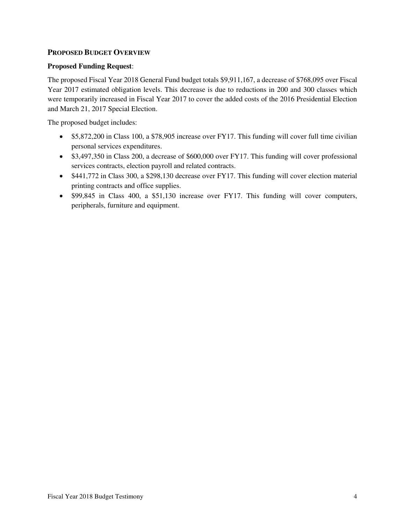### **PROPOSED BUDGET OVERVIEW**

### **Proposed Funding Request**:

The proposed Fiscal Year 2018 General Fund budget totals \$9,911,167, a decrease of \$768,095 over Fiscal Year 2017 estimated obligation levels. This decrease is due to reductions in 200 and 300 classes which were temporarily increased in Fiscal Year 2017 to cover the added costs of the 2016 Presidential Election and March 21, 2017 Special Election.

The proposed budget includes:

- \$5,872,200 in Class 100, a \$78,905 increase over FY17. This funding will cover full time civilian personal services expenditures.
- \$3,497,350 in Class 200, a decrease of \$600,000 over FY17. This funding will cover professional services contracts, election payroll and related contracts.
- \$441,772 in Class 300, a \$298,130 decrease over FY17. This funding will cover election material printing contracts and office supplies.
- \$99,845 in Class 400, a \$51,130 increase over FY17. This funding will cover computers, peripherals, furniture and equipment.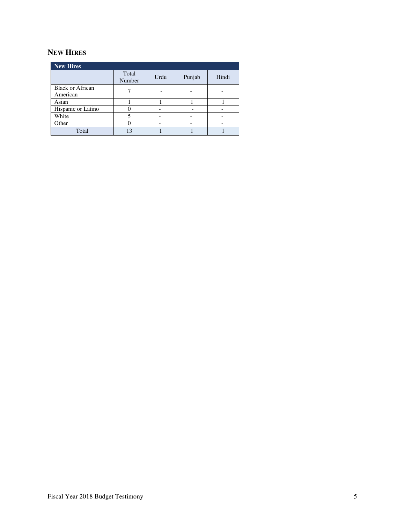# **NEW HIRES**

| <b>New Hires</b>                    |                 |      |        |       |  |  |  |  |
|-------------------------------------|-----------------|------|--------|-------|--|--|--|--|
|                                     | Total<br>Number | Urdu | Punjab | Hindi |  |  |  |  |
| <b>Black or African</b><br>American |                 |      |        |       |  |  |  |  |
| Asian                               |                 |      |        |       |  |  |  |  |
| Hispanic or Latino                  |                 |      |        |       |  |  |  |  |
| White                               |                 |      |        |       |  |  |  |  |
| Other                               |                 |      |        |       |  |  |  |  |
| Total                               | 13              |      |        |       |  |  |  |  |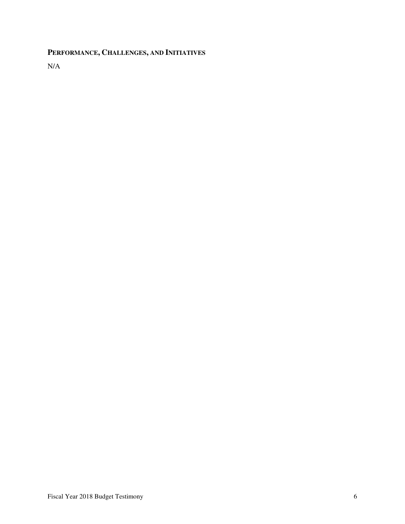# **PERFORMANCE, CHALLENGES, AND INITIATIVES**

N/A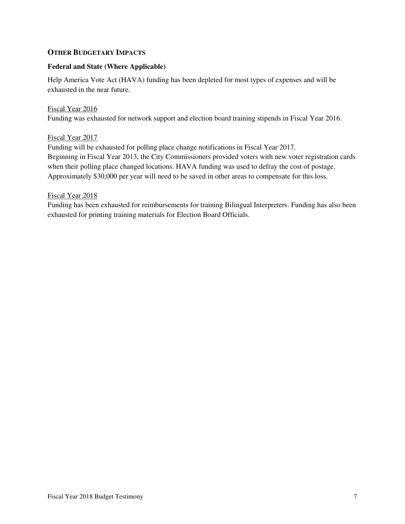### **OTHER BUDGETARY IMPACTS**

### **Federal and State (Where Applicable)**

Help America Vote Act (HAVA) funding has been depleted for most types of expenses and will be exhausted in the near future.

### Fiscal Year 2016

Funding was exhausted for network support and election board training stipends in Fiscal Year 2016.

### Fiscal Year 2017

Funding will be exhausted for polling place change notifications in Fiscal Year 2017. Beginning in Fiscal Year 2013, the City Commissioners provided voters with new voter registration cards when their polling place changed locations. HAVA funding was used to defray the cost of postage. Approximately \$30,000 per year will need to be saved in other areas to compensate for this loss.

#### Fiscal Year 2018

Funding has been exhausted for reimbursements for training Bilingual Interpreters. Funding has also been exhausted for printing training materials for Election Board Officials.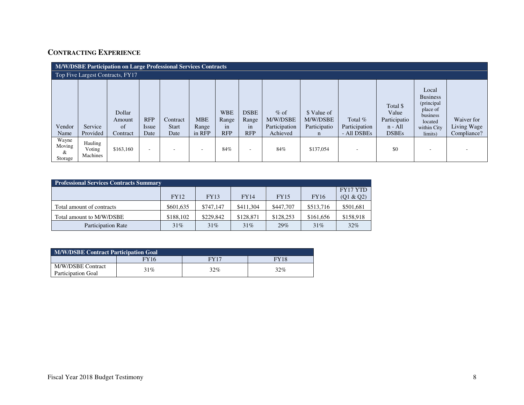# **CONTRACTING EXPERIENCE**

|                                 | <b>M/W/DSBE Participation on Large Professional Services Contracts</b> |                                    |                             |                                  |                               |                                         |                                          |                                                 |                                              |                                           |                                                                |                                                                                                     |                                          |
|---------------------------------|------------------------------------------------------------------------|------------------------------------|-----------------------------|----------------------------------|-------------------------------|-----------------------------------------|------------------------------------------|-------------------------------------------------|----------------------------------------------|-------------------------------------------|----------------------------------------------------------------|-----------------------------------------------------------------------------------------------------|------------------------------------------|
|                                 | Top Five Largest Contracts, FY17                                       |                                    |                             |                                  |                               |                                         |                                          |                                                 |                                              |                                           |                                                                |                                                                                                     |                                          |
| Vendor<br>Name                  | Service<br>Provided                                                    | Dollar<br>Amount<br>of<br>Contract | <b>RFP</b><br>Issue<br>Date | Contract<br><b>Start</b><br>Date | <b>MBE</b><br>Range<br>in RFP | <b>WBE</b><br>Range<br>1n<br><b>RFP</b> | <b>DSBE</b><br>Range<br>1n<br><b>RFP</b> | $%$ of<br>M/W/DSBE<br>Participation<br>Achieved | \$ Value of<br>M/W/DSBE<br>Participatio<br>n | Total $%$<br>Participation<br>- All DSBEs | Total \$<br>Value<br>Participatio<br>$n - All$<br><b>DSBEs</b> | Local<br><b>Business</b><br>(principal<br>place of<br>business<br>located<br>within City<br>limits) | Waiver for<br>Living Wage<br>Compliance? |
| Wayne<br>Moving<br>&<br>Storage | Hauling<br>Voting<br>Machines                                          | \$163,160                          |                             |                                  | $\overline{\phantom{a}}$      | 84%                                     | ٠                                        | 84%                                             | \$137,054                                    | $\overline{\phantom{a}}$                  | \$0                                                            |                                                                                                     |                                          |

| <b>Professional Services Contracts Summary</b> |           |           |           |             |             |                 |  |  |
|------------------------------------------------|-----------|-----------|-----------|-------------|-------------|-----------------|--|--|
|                                                |           |           |           |             |             | <b>FY17 YTD</b> |  |  |
|                                                | FY12      | FY13      | FY14      | <b>FY15</b> | <b>FY16</b> | (Q1 & Q2)       |  |  |
| Total amount of contracts                      | \$601,635 | \$747.147 | \$411,304 | \$447,707   | \$513,716   | \$501,681       |  |  |
| Total amount to M/W/DSBE                       | \$188,102 | \$229,842 | \$128,871 | \$128,253   | \$161,656   | \$158,918       |  |  |
| <b>Participation Rate</b>                      | 31%       | 31%       | 31%       | 29%         | 31%         | 32%             |  |  |

| M/W/DSBE Contract Participation Goal    |      |      |             |  |  |  |
|-----------------------------------------|------|------|-------------|--|--|--|
|                                         | FY16 | FY17 | <b>FY18</b> |  |  |  |
| M/W/DSBE Contract<br>Participation Goal | 31%  | 32%  | $32\%$      |  |  |  |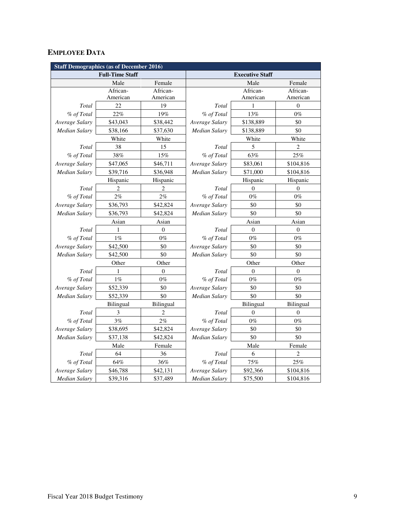# **EMPLOYEE DATA**

| <b>Staff Demographics (as of December 2016)</b> |                        |                  |                        |                  |                  |  |  |  |
|-------------------------------------------------|------------------------|------------------|------------------------|------------------|------------------|--|--|--|
|                                                 | <b>Full-Time Staff</b> |                  | <b>Executive Staff</b> |                  |                  |  |  |  |
|                                                 | Male                   | Female           |                        | Male             | Female           |  |  |  |
|                                                 | African-               | African-         |                        | African-         | African-         |  |  |  |
|                                                 | American               | American         |                        | American         | American         |  |  |  |
| Total                                           | 22                     | 19               | Total                  | 1                | $\boldsymbol{0}$ |  |  |  |
| % of Total                                      | 22%                    | 19%              | % of Total             | 13%              | $0\%$            |  |  |  |
| Average Salary                                  | \$43,043               | \$38,442         | Average Salary         | \$138,889        | \$0              |  |  |  |
| <b>Median Salary</b>                            | \$38,166               | \$37,630         | Median Salary          | \$138,889        | \$0              |  |  |  |
|                                                 | White                  | White            |                        | White            | White            |  |  |  |
| Total                                           | 38                     | 15               | Total                  | 5                | $\overline{c}$   |  |  |  |
| % of Total                                      | 38%                    | 15%              | % of Total             | 63%              | 25%              |  |  |  |
| Average Salary                                  | \$47,065               | \$46,711         | Average Salary         | \$83,061         | \$104,816        |  |  |  |
| Median Salary                                   | \$39,716               | \$36,948         | Median Salary          | \$71,000         | \$104,816        |  |  |  |
|                                                 | Hispanic               | Hispanic         |                        | Hispanic         | Hispanic         |  |  |  |
| Total                                           | $\overline{2}$         | $\overline{c}$   | Total                  | $\Omega$         | $\theta$         |  |  |  |
| % of Total                                      | 2%                     | 2%               | % of Total             | $0\%$            | $0\%$            |  |  |  |
| Average Salary                                  | \$36,793               | \$42,824         | Average Salary         | \$0              | \$0              |  |  |  |
| Median Salary                                   | \$36,793               | \$42,824         | <b>Median Salary</b>   | \$0              | \$0              |  |  |  |
|                                                 | Asian<br>Asian         |                  | Asian<br>Asian         |                  |                  |  |  |  |
| Total                                           | 1                      | $\boldsymbol{0}$ | Total                  | $\boldsymbol{0}$ | $\boldsymbol{0}$ |  |  |  |
| % of Total                                      | $1\%$                  | $0\%$            | % of Total             | $0\%$            | $0\%$            |  |  |  |
| Average Salary                                  | \$42,500               | \$0              | Average Salary         | \$0              | \$0              |  |  |  |
| Median Salary                                   | \$42,500               | \$0              | Median Salary          | \$0              | \$0              |  |  |  |
|                                                 | Other                  | Other            | Other<br>Other         |                  |                  |  |  |  |
| Total                                           | 1                      | $\overline{0}$   | Total                  | $\Omega$         | $\theta$         |  |  |  |
| % of Total                                      | $1\%$                  | $0\%$            | % of Total             | $0\%$            | $0\%$            |  |  |  |
| Average Salary                                  | \$52,339               | \$0              | Average Salary         | \$0              | \$0              |  |  |  |
| Median Salary                                   | \$52,339               | \$0              | Median Salary          | \$0              | \$0              |  |  |  |
|                                                 | Bilingual              | Bilingual        |                        | Bilingual        | Bilingual        |  |  |  |
| Total                                           | $\mathfrak{Z}$         | $\overline{2}$   | Total                  | $\theta$         | $\boldsymbol{0}$ |  |  |  |
| % of Total                                      | 3%                     | 2%               | % of Total             | $0\%$            | $0\%$            |  |  |  |
| Average Salary                                  | \$38,695               | \$42,824         | Average Salary         | \$0              | \$0              |  |  |  |
| Median Salary                                   | \$37,138               | \$42,824         | <b>Median Salary</b>   | \$0              | \$0              |  |  |  |
|                                                 | Male                   | Female           |                        | Male             | Female           |  |  |  |
| Total                                           | 64                     | 36               | Total                  | 6                | $\overline{2}$   |  |  |  |
| % of Total                                      | 64%                    | 36%              | % of Total             | $75\%$           | $25\%$           |  |  |  |
| Average Salary                                  | \$46,788               | \$42,131         | Average Salary         | \$92,366         | \$104,816        |  |  |  |
| <b>Median Salary</b>                            | \$39,316               | \$37,489         | <b>Median Salary</b>   | \$75,500         | \$104,816        |  |  |  |